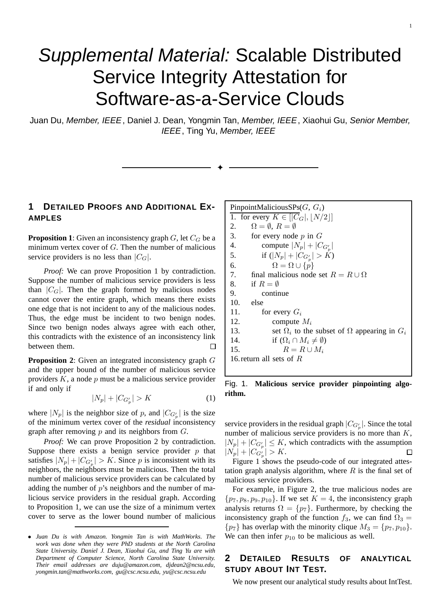# Supplemental Material: Scalable Distributed Service Integrity Attestation for Software-as-a-Service Clouds

Juan Du, Member, IEEE, Daniel J. Dean, Yongmin Tan, Member, IEEE, Xiaohui Gu, Senior Member, IEEE, Ting Yu, Member, IEEE

✦

## **1 DETAILED PROOFS AND ADDITIONAL EX-AMPLES**

**Proposition 1**: Given an inconsistency graph  $G$ , let  $C_G$  be a minimum vertex cover of  $G$ . Then the number of malicious service providers is no less than  $|C_G|$ .

*Proof:* We can prove Proposition 1 by contradiction. Suppose the number of malicious service providers is less than  $|C_G|$ . Then the graph formed by malicious nodes cannot cover the entire graph, which means there exists one edge that is not incident to any of the malicious nodes. Thus, the edge must be incident to two benign nodes. Since two benign nodes always agree with each other, this contradicts with the existence of an inconsistency link between them.  $\Box$ 

**Proposition 2**: Given an integrated inconsistency graph G and the upper bound of the number of malicious service providers  $K$ , a node  $p$  must be a malicious service provider if and only if

$$
|N_p| + |C_{G'_p}| > K \tag{1}
$$

where  $|N_p|$  is the neighbor size of p, and  $|C_{G'_p}|$  is the size of the minimum vertex cover of the *residual* inconsistency graph after removing  $p$  and its neighbors from  $G$ .

*Proof:* We can prove Proposition 2 by contradiction. Suppose there exists a benign service provider  $p$  that satisfies  $|N_p| + |C_{G'_p}| > K$ . Since p is inconsistent with its neighbors, the neighbors must be malicious. Then the total number of malicious service providers can be calculated by adding the number of  $p$ 's neighbors and the number of malicious service providers in the residual graph. According to Proposition 1, we can use the size of a minimum vertex cover to serve as the lower bound number of malicious

| PinpointMaliciousSPs $(G, G_i)$                                    |  |  |
|--------------------------------------------------------------------|--|--|
| 1. for every $K \in  C_G ,  N/2 $                                  |  |  |
| $\Omega = \emptyset$ , $R = \emptyset$<br>2.                       |  |  |
| 3.<br>for every node $p$ in $G$                                    |  |  |
| 4.<br>compute $ N_p  +  C_{G'_p} $                                 |  |  |
| 5.<br>if $( N_p  +  C_{G'_p}  > K)$                                |  |  |
| 6.<br>$\Omega = \Omega \cup \{p\}$                                 |  |  |
| 7.<br>final malicious node set $R = R \cup \Omega$                 |  |  |
| 8.<br>if $R = \emptyset$                                           |  |  |
| 9.<br>continue                                                     |  |  |
| 10. else                                                           |  |  |
| 11.<br>for every $G_i$                                             |  |  |
| 12.<br>compute $M_i$                                               |  |  |
| 13.<br>set $\Omega_i$ to the subset of $\Omega$ appearing in $G_i$ |  |  |
| if $(\Omega_i \cap M_i \neq \emptyset)$<br>14.                     |  |  |
| $R = R \cup M_i$<br>15.                                            |  |  |
| 16 return all sets of $R$                                          |  |  |
|                                                                    |  |  |

1

Fig. 1. **Malicious service provider pinpointing algorithm.**

service providers in the residual graph  $|C_{G'_p}|$ . Since the total number of malicious service providers is no more than  $K$ ,  $|N_p| + |C_{G'_p}| \le K$ , which contradicts with the assumption  $|N_p| + |C_{G'_p}| > K.$ □

Figure 1 shows the pseudo-code of our integrated attestation graph analysis algorithm, where  $R$  is the final set of malicious service providers.

For example, in Figure 2, the true malicious nodes are  $\{p_7, p_8, p_9, p_{10}\}\.$  If we set  $K = 4$ , the inconsistency graph analysis returns  $\Omega = \{p_7\}$ . Furthermore, by checking the inconsistency graph of the function  $f_3$ , we can find  $\Omega_3 =$  $\{p_7\}$  has overlap with the minority clique  $M_3 = \{p_7, p_{10}\}.$ We can then infer  $p_{10}$  to be malicious as well.

## **2 DETAILED RESULTS OF ANALYTICAL STUDY ABOUT INT TEST.**

We now present our analytical study results about IntTest.

<sup>•</sup> *Juan Du is with Amazon. Yongmin Tan is with MathWorks. The work was done when they were PhD students at the North Carolina State University. Daniel J. Dean, Xiaohui Gu, and Ting Yu are with Department of Computer Science, North Carolina State University. Their email addresses are duju@amazon.com, djdean2@ncsu.edu, yongmin.tan@mathworks.com, gu@csc.ncsu.edu, yu@csc.ncsu.edu*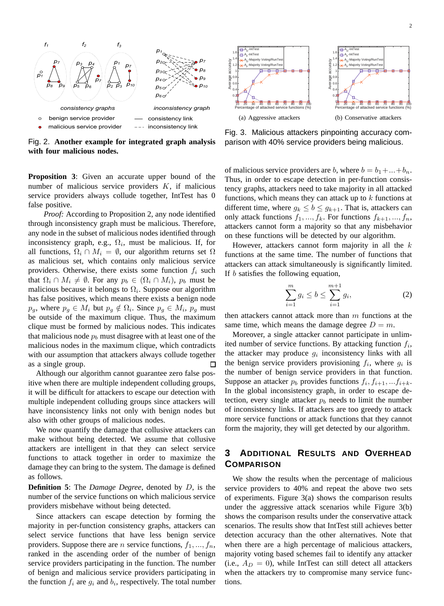

Fig. 2. **Another example for integrated graph analysis with four malicious nodes.**

**Proposition 3**: Given an accurate upper bound of the number of malicious service providers  $K$ , if malicious service providers always collude together, IntTest has 0 false positive.

*Proof:* According to Proposition 2, any node identified through inconsistency graph must be malicious. Therefore, any node in the subset of malicious nodes identified through inconsistency graph, e.g.,  $\Omega_i$ , must be malicious. If, for all functions,  $\Omega_i \cap M_i = \emptyset$ , our algorithm returns set  $\Omega$ as malicious set, which contains only malicious service providers. Otherwise, there exists some function  $f_i$  such that  $\Omega_i \cap M_i \neq \emptyset$ . For any  $p_b \in (\Omega_i \cap M_i)$ ,  $p_b$  must be malicious because it belongs to  $\Omega_i$ . Suppose our algorithm has false positives, which means there exists a benign node  $p_g$ , where  $p_g \in M_i$  but  $p_g \notin \Omega_i$ . Since  $p_g \in M_i$ ,  $p_g$  must be outside of the maximum clique. Thus, the maximum clique must be formed by malicious nodes. This indicates that malicious node  $p<sub>b</sub>$  must disagree with at least one of the malicious nodes in the maximum clique, which contradicts with our assumption that attackers always collude together as a single group.  $\Box$ 

Although our algorithm cannot guarantee zero false positive when there are multiple independent colluding groups, it will be difficult for attackers to escape our detection with multiple independent colluding groups since attackers will have inconsistency links not only with benign nodes but also with other groups of malicious nodes.

We now quantify the damage that collusive attackers can make without being detected. We assume that collusive attackers are intelligent in that they can select service functions to attack together in order to maximize the damage they can bring to the system. The damage is defined as follows.

**Definition 5**: The *Damage Degree*, denoted by D, is the number of the service functions on which malicious service providers misbehave without being detected.

Since attackers can escape detection by forming the majority in per-function consistency graphs, attackers can select service functions that have less benign service providers. Suppose there are *n* service functions,  $f_1, ..., f_n$ , ranked in the ascending order of the number of benign service providers participating in the function. The number of benign and malicious service providers participating in the function  $f_i$  are  $g_i$  and  $b_i$ , respectively. The total number



Fig. 3. Malicious attackers pinpointing accuracy comparison with 40% service providers being malicious.

of malicious service providers are b, where  $b = b_1 + ... + b_n$ . Thus, in order to escape detection in per-function consistency graphs, attackers need to take majority in all attacked functions, which means they can attack up to  $k$  functions at different time, where  $g_k \leq b \leq g_{k+1}$ . That is, attackers can only attack functions  $f_1, ..., f_k$ . For functions  $f_{k+1}, ..., f_n$ , attackers cannot form a majority so that any misbehavior on these functions will be detected by our algorithm.

However, attackers cannot form majority in all the  $k$ functions at the same time. The number of functions that attackers can attack simultaneously is significantly limited. If b satisfies the following equation,

$$
\sum_{i=1}^{m} g_i \le b \le \sum_{i=1}^{m+1} g_i,
$$
\n(2)

then attackers cannot attack more than  $m$  functions at the same time, which means the damage degree  $D = m$ .

Moreover, a single attacker cannot participate in unlimited number of service functions. By attacking function  $f_i$ , the attacker may produce  $g_i$  inconsistency links with all the benign service providers provisioning  $f_i$ , where  $g_i$  is the number of benign service providers in that function. Suppose an attacker  $p_b$  provides functions  $f_i, f_{i+1}, \ldots, f_{i+k}$ . In the global inconsistency graph, in order to escape detection, every single attacker  $p_b$  needs to limit the number of inconsistency links. If attackers are too greedy to attack more service functions or attack functions that they cannot form the majority, they will get detected by our algorithm.

# **3 ADDITIONAL RESULTS AND OVERHEAD COMPARISON**

We show the results when the percentage of malicious service providers to 40% and repeat the above two sets of experiments. Figure 3(a) shows the comparison results under the aggressive attack scenarios while Figure 3(b) shows the comparison results under the conservative attack scenarios. The results show that IntTest still achieves better detection accuracy than the other alternatives. Note that when there are a high percentage of malicious attackers, majority voting based schemes fail to identify any attacker (i.e.,  $A_D = 0$ ), while IntTest can still detect all attackers when the attackers try to compromise many service functions.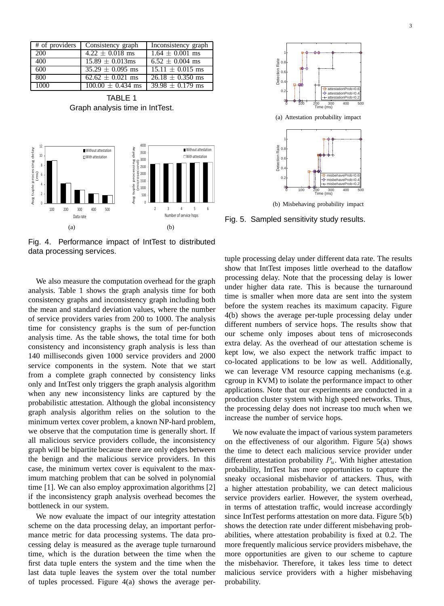|      | # of providers Consistency graph | Inconsistency graph             |
|------|----------------------------------|---------------------------------|
| 200  | $4.22 \pm 0.018$ ms              | $1.64 \pm 0.001$ ms             |
| 400  | $15.89 \pm 0.013$ ms             | $6.52 \pm 0.004$ ms             |
| 600  | $35.29 \pm 0.095$ ms             | $\overline{15.11 \pm 0.015}$ ms |
| 800  | $\sqrt{62.62 \pm 0.021}$ ms      | $\sqrt{26.18} \pm 0.350$ ms     |
| 1000 | $100.00 \pm 0.434$ ms            | $\overline{39.98} \pm 0.179$ ms |

TABLE 1 Graph analysis time in IntTest.



Fig. 4. Performance impact of IntTest to distributed data processing services.

We also measure the computation overhead for the graph analysis. Table 1 shows the graph analysis time for both consistency graphs and inconsistency graph including both the mean and standard deviation values, where the number of service providers varies from 200 to 1000. The analysis time for consistency graphs is the sum of per-function analysis time. As the table shows, the total time for both consistency and inconsistency graph analysis is less than 140 milliseconds given 1000 service providers and 2000 service components in the system. Note that we start from a complete graph connected by consistency links only and IntTest only triggers the graph analysis algorithm when any new inconsistency links are captured by the probabilistic attestation. Although the global inconsistency graph analysis algorithm relies on the solution to the minimum vertex cover problem, a known NP-hard problem, we observe that the computation time is generally short. If all malicious service providers collude, the inconsistency graph will be bipartite because there are only edges between the benign and the malicious service providers. In this case, the minimum vertex cover is equivalent to the maximum matching problem that can be solved in polynomial time [1]. We can also employ approximation algorithms [2] if the inconsistency graph analysis overhead becomes the bottleneck in our system.

We now evaluate the impact of our integrity attestation scheme on the data processing delay, an important performance metric for data processing systems. The data processing delay is measured as the average tuple turnaround time, which is the duration between the time when the first data tuple enters the system and the time when the last data tuple leaves the system over the total number of tuples processed. Figure 4(a) shows the average per-



Fig. 5. Sampled sensitivity study results.

tuple processing delay under different data rate. The results show that IntTest imposes little overhead to the dataflow processing delay. Note that the processing delay is lower under higher data rate. This is because the turnaround time is smaller when more data are sent into the system before the system reaches its maximum capacity. Figure 4(b) shows the average per-tuple processing delay under different numbers of service hops. The results show that our scheme only imposes about tens of microseconds extra delay. As the overhead of our attestation scheme is kept low, we also expect the network traffic impact to co-located applications to be low as well. Additionally, we can leverage VM resource capping mechanisms (e.g. cgroup in KVM) to isolate the performance impact to other applications. Note that our experiments are conducted in a production cluster system with high speed networks. Thus, the processing delay does not increase too much when we increase the number of service hops.

We now evaluate the impact of various system parameters on the effectiveness of our algorithm. Figure 5(a) shows the time to detect each malicious service provider under different attestation probability  $P_u$ . With higher attestation probability, IntTest has more opportunities to capture the sneaky occasional misbehavior of attackers. Thus, with a higher attestation probability, we can detect malicious service providers earlier. However, the system overhead, in terms of attestation traffic, would increase accordingly since IntTest performs attestation on more data. Figure 5(b) shows the detection rate under different misbehaving probabilities, where attestation probability is fixed at 0.2. The more frequently malicious service providers misbehave, the more opportunities are given to our scheme to capture the misbehavior. Therefore, it takes less time to detect malicious service providers with a higher misbehaving probability.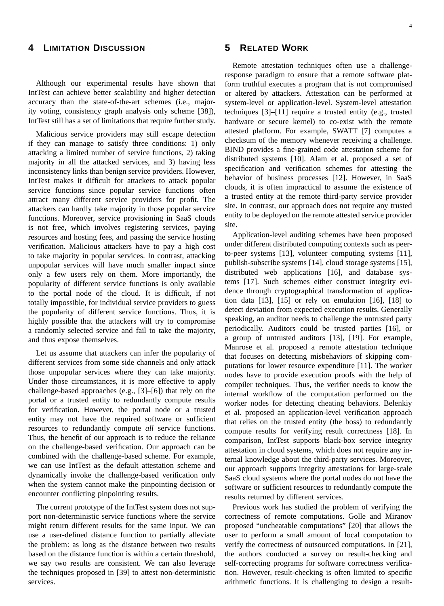#### **4 LIMITATION DISCUSSION**

Although our experimental results have shown that IntTest can achieve better scalability and higher detection accuracy than the state-of-the-art schemes (i.e., majority voting, consistency graph analysis only scheme [38]), IntTest still has a set of limitations that require further study.

Malicious service providers may still escape detection if they can manage to satisfy three conditions: 1) only attacking a limited number of service functions, 2) taking majority in all the attacked services, and 3) having less inconsistency links than benign service providers. However, IntTest makes it difficult for attackers to attack popular service functions since popular service functions often attract many different service providers for profit. The attackers can hardly take majority in those popular service functions. Moreover, service provisioning in SaaS clouds is not free, which involves registering services, paying resources and hosting fees, and passing the service hosting verification. Malicious attackers have to pay a high cost to take majority in popular services. In contrast, attacking unpopular services will have much smaller impact since only a few users rely on them. More importantly, the popularity of different service functions is only available to the portal node of the cloud. It is difficult, if not totally impossible, for individual service providers to guess the popularity of different service functions. Thus, it is highly possible that the attackers will try to compromise a randomly selected service and fail to take the majority, and thus expose themselves.

Let us assume that attackers can infer the popularity of different services from some side channels and only attack those unpopular services where they can take majority. Under those circumstances, it is more effective to apply challenge-based approaches (e.g., [3]–[6]) that rely on the portal or a trusted entity to redundantly compute results for verification. However, the portal node or a trusted entity may not have the required software or sufficient resources to redundantly compute *all* service functions. Thus, the benefit of our approach is to reduce the reliance on the challenge-based verification. Our approach can be combined with the challenge-based scheme. For example, we can use IntTest as the default attestation scheme and dynamically invoke the challenge-based verification only when the system cannot make the pinpointing decision or encounter conflicting pinpointing results.

The current prototype of the IntTest system does not support non-deterministic service functions where the service might return different results for the same input. We can use a user-defined distance function to partially alleviate the problem: as long as the distance between two results based on the distance function is within a certain threshold, we say two results are consistent. We can also leverage the techniques proposed in [39] to attest non-deterministic services.

#### **5 RELATED WORK**

Remote attestation techniques often use a challengeresponse paradigm to ensure that a remote software platform truthful executes a program that is not compromised or altered by attackers. Attestation can be performed at system-level or application-level. System-level attestation techniques [3]–[11] require a trusted entity (e.g., trusted hardware or secure kernel) to co-exist with the remote attested platform. For example, SWATT [7] computes a checksum of the memory whenever receiving a challenge. BIND provides a fine-grained code attestation scheme for distributed systems [10]. Alam et al. proposed a set of specification and verification schemes for attesting the behavior of business processes [12]. However, in SaaS clouds, it is often impractical to assume the existence of a trusted entity at the remote third-party service provider site. In contrast, our approach does not require any trusted entity to be deployed on the remote attested service provider site.

Application-level auditing schemes have been proposed under different distributed computing contexts such as peerto-peer systems [13], volunteer computing systems [11], publish-subscribe systems [14], cloud storage systems [15], distributed web applications [16], and database systems [17]. Such schemes either construct integrity evidence through cryptographical transformation of application data  $[13]$ ,  $[15]$  or rely on emulation  $[16]$ ,  $[18]$  to detect deviation from expected execution results. Generally speaking, an auditor needs to challenge the untrusted party periodically. Auditors could be trusted parties [16], or a group of untrusted auditors [13], [19]. For example, Manrose et al. proposed a remote attestation technique that focuses on detecting misbehaviors of skipping computations for lower resource expenditure [11]. The worker nodes have to provide execution proofs with the help of compiler techniques. Thus, the verifier needs to know the internal workflow of the computation performed on the worker nodes for detecting cheating behaviors. Belenkiy et al. proposed an application-level verification approach that relies on the trusted entity (the boss) to redundantly compute results for verifying result correctness [18]. In comparison, IntTest supports black-box service integrity attestation in cloud systems, which does not require any internal knowledge about the third-party services. Moreover, our approach supports integrity attestations for large-scale SaaS cloud systems where the portal nodes do not have the software or sufficient resources to redundantly compute the results returned by different services.

Previous work has studied the problem of verifying the correctness of remote computations. Golle and Miranov proposed "uncheatable computations" [20] that allows the user to perform a small amount of local computation to verify the correctness of outsourced computations. In [21], the authors conducted a survey on result-checking and self-correcting programs for software correctness verification. However, result-checking is often limited to specific arithmetic functions. It is challenging to design a result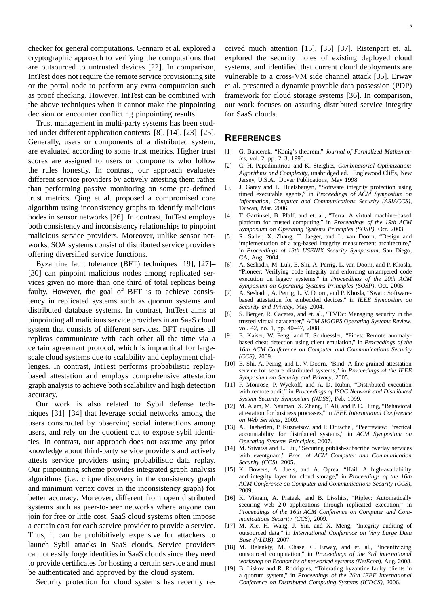checker for general computations. Gennaro et al. explored a cryptographic approach to verifying the computations that are outsourced to untrusted devices [22]. In comparison, IntTest does not require the remote service provisioning site or the portal node to perform any extra computation such as proof checking. However, IntTest can be combined with the above techniques when it cannot make the pinpointing decision or encounter conflicting pinpointing results.

Trust management in multi-party systems has been studied under different application contexts [8], [14], [23]–[25]. Generally, users or components of a distributed system, are evaluated according to some trust metrics. Higher trust scores are assigned to users or components who follow the rules honestly. In contrast, our approach evaluates different service providers by actively attesting them rather than performing passive monitoring on some pre-defined trust metrics. Qing et al. proposed a compromised core algorithm using inconsistency graphs to identify malicious nodes in sensor networks [26]. In contrast, IntTest employs both consistency and inconsistency relationships to pinpoint malicious service providers. Moreover, unlike sensor networks, SOA systems consist of distributed service providers offering diversified service functions.

Byzantine fault tolerance (BFT) techniques [19], [27]– [30] can pinpoint malicious nodes among replicated services given no more than one third of total replicas being faulty. However, the goal of BFT is to achieve consistency in replicated systems such as quorum systems and distributed database systems. In contrast, IntTest aims at pinpointing all malicious service providers in an SaaS cloud system that consists of different services. BFT requires all replicas communicate with each other all the time via a certain agreement protocol, which is impractical for largescale cloud systems due to scalability and deployment challenges. In contrast, IntTest performs probabilistic replaybased attestation and employs comprehensive attestation graph analysis to achieve both scalability and high detection accuracy.

Our work is also related to Sybil defense techniques [31]–[34] that leverage social networks among the users constructed by observing social interactions among users, and rely on the quotient cut to expose sybil identities. In contrast, our approach does not assume any prior knowledge about third-party service providers and actively attests service providers using probabilistic data replay. Our pinpointing scheme provides integrated graph analysis algorithms (i.e., clique discovery in the consistency graph and minimum vertex cover in the inconsistency graph) for better accuracy. Moreover, different from open distributed systems such as peer-to-peer networks where anyone can join for free or little cost, SaaS cloud systems often impose a certain cost for each service provider to provide a service. Thus, it can be prohibitively expensive for attackers to launch Sybil attacks in SaaS clouds. Service providers cannot easily forge identities in SaaS clouds since they need to provide certificates for hosting a certain service and must be authenticated and approved by the cloud system.

Security protection for cloud systems has recently re-

ceived much attention [15], [35]–[37]. Ristenpart et. al. explored the security holes of existing deployed cloud systems, and identified that current cloud deployments are vulnerable to a cross-VM side channel attack [35]. Erway et al. presented a dynamic provable data possession (PDP) framework for cloud storage systems [36]. In comparison, our work focuses on assuring distributed service integrity for SaaS clouds.

#### **REFERENCES**

- [1] G. Bancerek, "Konig's theorem," *Journal of Formalized Mathematics*, vol. 2, pp. 2–3, 1990.
- [2] C. H. Papadimitriou and K. Steiglitz, *Combinatorial Optimization: Algorithms and Complexity*, unabridged ed. Englewood Cliffs, New Jersey, U.S.A.: Dover Publications, May 1998.
- [3] J. Garay and L. Huelsbergen, "Software integrity protection using timed executable agents," in *Proceedings of ACM Symposium on Information, Computer and Communications Security (ASIACCS)*, Taiwan, Mar. 2006.
- [4] T. Garfinkel, B. Pfaff, and et. al., "Terra: A virtual machine-based platform for trusted computing," in *Proceedings of the 19th ACM Symposium on Operating Systems Principles (SOSP)*, Oct. 2003.
- [5] R. Sailer, X. Zhang, T. Jaeger, and L. van Doorn, "Design and implementation of a tcg-based integrity measurement architecture," in *Proceedings of 13th USENIX Security Symposium*, San Diego, CA, Aug. 2004.
- [6] A. Seshadri, M. Luk, E. Shi, A. Perrig, L. van Doorn, and P. Khosla, "Pioneer: Verifying code integrity and enforcing untampered code execution on legacy systems," in *Proceedings of the 20th ACM Symposium on Operating Systems Principles (SOSP)*, Oct. 2005.
- [7] A. Seshadri, A. Perrig, L. V. Doorn, and P. Khosla, "Swatt: Softwarebased attestation for embedded devices," in *IEEE Symposium on Security and Privacy*, May 2004.
- [8] S. Berger, R. Caceres, and et. al., "TVDc: Managing security in the trusted virtual datacenter," *ACM SIGOPS Operating Systems Review*, vol. 42, no. 1, pp. 40–47, 2008.
- [9] E. Kaiser, W. Feng, and T. Schluessler, "Fides: Remote anomalybased cheat detection using client emulation," in *Proceedings of the 16th ACM Conference on Computer and Communications Security (CCS)*, 2009.
- [10] E. Shi, A. Perrig, and L. V. Doorn, "Bind: A fine-grained attestation service for secure distributed systems," in *Proceedings of the IEEE Symposium on Security and Privacy*, 2005.
- [11] F. Monrose, P. Wyckoff, and A. D. Rubin, "Distributed execution with remote audit," in *Proceedings of ISOC Network and Distributed System Security Symposium (NDSS)*, Feb. 1999.
- [12] M. Alam, M. Nauman, X. Zhang, T. Ali, and P. C. Hung, "Behavioral attestation for business processes," in *IEEE International Conference on Web Services*, 2009.
- [13] A. Haeberlen, P. Kuznetsov, and P. Druschel, "Peerreview: Practical accountability for distributed systems," in *ACM Symposium on Operating Systems Principles*, 2007.
- [14] M. Srivatsa and L. Liu, "Securing publish-subscribe overlay services with eventguard," *Proc. of ACM Computer and Communication Security (CCS)*, 2005.
- [15] K. Bowers, A. Juels, and A. Oprea, "Hail: A high-availability and integrity layer for cloud storage," in *Proceedings of the 16th ACM Conference on Computer and Communications Security (CCS)*, 2009.
- [16] K. Vikram, A. Prateek, and B. Livshits, "Ripley: Automatically securing web 2.0 applications through replicated execution," in *Proceedings of the 16th ACM Conference on Computer and Communications Security (CCS)*, 2009.
- [17] M. Xie, H. Wang, J. Yin, and X. Meng, "Integrity auditing of outsourced data," in *International Conference on Very Large Data Base (VLDB)*, 2007.
- [18] M. Belenkiy, M. Chase, C. Erway, and et. al., "Incentivizing outsourced computation," in *Proceedings of the 3rd international workshop on Economics of networked systems (NetEcon)*, Aug. 2008.
- [19] B. Liskov and R. Rodrigues, "Tolerating byzantine faulty clients in a quorum system," in *Proceedings of the 26th IEEE International Conference on Distributed Computing Systems (ICDCS)*, 2006.